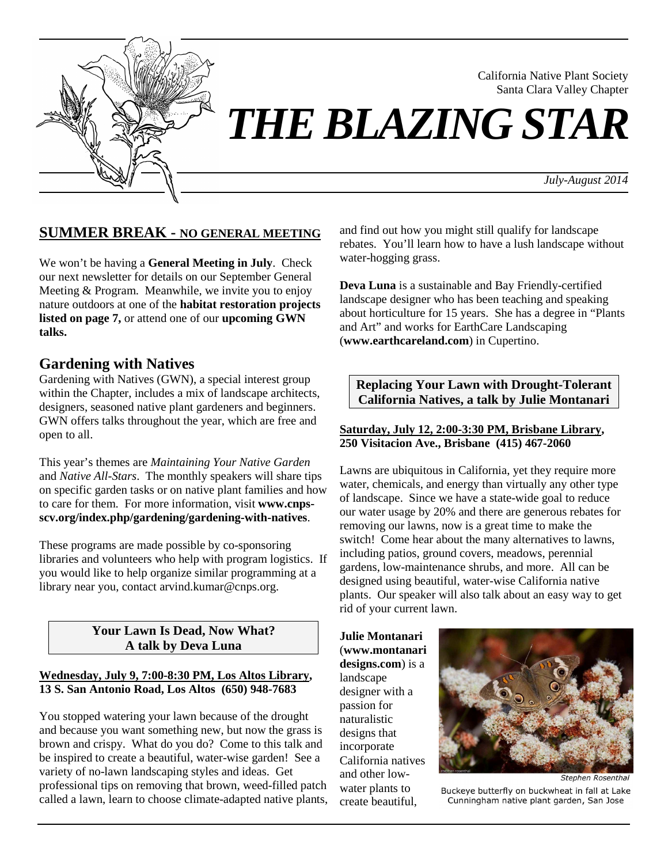

Santa Clara Valley Chapter *THE BLAZING STAR*

*July-August 2014*

California Native Plant Society

# **SUMMER BREAK - NO GENERAL MEETING**

We won't be having a **General Meeting in July**. Check our next newsletter for details on our September General Meeting & Program. Meanwhile, we invite you to enjoy nature outdoors at one of the **habitat restoration projects listed on page 7,** or attend one of our **upcoming GWN talks.** 

## **Gardening with Natives**

Gardening with Natives (GWN), a special interest group within the Chapter, includes a mix of landscape architects, designers, seasoned native plant gardeners and beginners. GWN offers talks throughout the year, which are free and open to all.

This year's themes are *Maintaining Your Native Garden* and *Native All-Stars*. The monthly speakers will share tips on specific garden tasks or on native plant families and how to care for them. For more information, visit **www.cnpsscv.org/index.php/gardening/gardening-with-natives**.

These programs are made possible by co-sponsoring libraries and volunteers who help with program logistics. If you would like to help organize similar programming at a library near you, contact arvind.kumar@cnps.org.

### **Your Lawn Is Dead, Now What? A talk by Deva Luna**

### **Wednesday, July 9, 7:00-8:30 PM, Los Altos Library, 13 S. San Antonio Road, Los Altos (650) 948-7683**

You stopped watering your lawn because of the drought and because you want something new, but now the grass is brown and crispy. What do you do? Come to this talk and be inspired to create a beautiful, water-wise garden! See a variety of no-lawn landscaping styles and ideas. Get professional tips on removing that brown, weed-filled patch called a lawn, learn to choose climate-adapted native plants, and find out how you might still qualify for landscape rebates. You'll learn how to have a lush landscape without water-hogging grass.

**Deva Luna** is a sustainable and Bay Friendly-certified landscape designer who has been teaching and speaking about horticulture for 15 years. She has a degree in "Plants and Art" and works for EarthCare Landscaping (**www.earthcareland.com**) in Cupertino.

### **Replacing Your Lawn with Drought-Tolerant California Natives, a talk by Julie Montanari**

### **Saturday, July 12, 2:00-3:30 PM, Brisbane Library, 250 Visitacion Ave., Brisbane (415) 467-2060**

Lawns are ubiquitous in California, yet they require more water, chemicals, and energy than virtually any other type of landscape. Since we have a state-wide goal to reduce our water usage by 20% and there are generous rebates for removing our lawns, now is a great time to make the switch! Come hear about the many alternatives to lawns, including patios, ground covers, meadows, perennial gardens, low-maintenance shrubs, and more. All can be designed using beautiful, water-wise California native plants. Our speaker will also talk about an easy way to get rid of your current lawn.

**Julie Montanari** (**www.montanari designs.com**) is a landscape designer with a passion for naturalistic designs that incorporate California natives and other lowwater plants to create beautiful,



**Stephen Rosenthal** Buckeye butterfly on buckwheat in fall at Lake Cunningham native plant garden, San Jose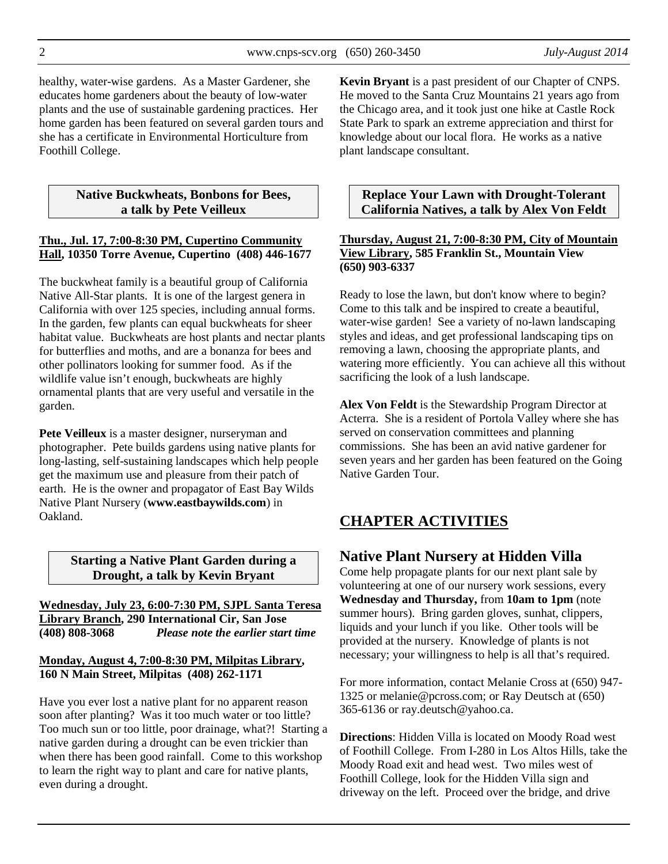2 www.cnps-scv.org (650) 260-3450 *July-August 2014*

healthy, water-wise gardens. As a Master Gardener, she educates home gardeners about the beauty of low-water plants and the use of sustainable gardening practices. Her home garden has been featured on several garden tours and she has a certificate in Environmental Horticulture from Foothill College.

### **Native Buckwheats, Bonbons for Bees, a talk by Pete Veilleux**

### **Thu., Jul. 17, 7:00-8:30 PM, Cupertino Community Hall, 10350 Torre Avenue, Cupertino (408) 446-1677**

The buckwheat family is a beautiful group of California Native All-Star plants. It is one of the largest genera in California with over 125 species, including annual forms. In the garden, few plants can equal buckwheats for sheer habitat value. Buckwheats are host plants and nectar plants for butterflies and moths, and are a bonanza for bees and other pollinators looking for summer food. As if the wildlife value isn't enough, buckwheats are highly ornamental plants that are very useful and versatile in the garden.

**Pete Veilleux** is a master designer, nurseryman and photographer. Pete builds gardens using native plants for long-lasting, self-sustaining landscapes which help people get the maximum use and pleasure from their patch of earth. He is the owner and propagator of East Bay Wilds Native Plant Nursery (**www.eastbaywilds.com**) in Oakland.

> **Starting a Native Plant Garden during a Drought, a talk by Kevin Bryant**

**Wednesday, July 23, 6:00-7:30 PM, SJPL Santa Teresa Library Branch, 290 International Cir, San Jose (408) 808-3068** *Please note the earlier start time*

### **Monday, August 4, 7:00-8:30 PM, Milpitas Library, 160 N Main Street, Milpitas (408) 262-1171**

Have you ever lost a native plant for no apparent reason soon after planting? Was it too much water or too little? Too much sun or too little, poor drainage, what?! Starting a native garden during a drought can be even trickier than when there has been good rainfall. Come to this workshop to learn the right way to plant and care for native plants, even during a drought.

**Kevin Bryant** is a past president of our Chapter of CNPS. He moved to the Santa Cruz Mountains 21 years ago from the Chicago area, and it took just one hike at Castle Rock State Park to spark an extreme appreciation and thirst for knowledge about our local flora. He works as a native plant landscape consultant.

**Replace Your Lawn with Drought-Tolerant California Natives, a talk by Alex Von Feldt** 

### **Thursday, August 21, 7:00-8:30 PM, City of Mountain View Library, 585 Franklin St., Mountain View (650) 903-6337**

Ready to lose the lawn, but don't know where to begin? Come to this talk and be inspired to create a beautiful, water-wise garden! See a variety of no-lawn landscaping styles and ideas, and get professional landscaping tips on removing a lawn, choosing the appropriate plants, and watering more efficiently. You can achieve all this without sacrificing the look of a lush landscape.

**Alex Von Feldt** is the Stewardship Program Director at Acterra. She is a resident of Portola Valley where she has served on conservation committees and planning commissions. She has been an avid native gardener for seven years and her garden has been featured on the Going Native Garden Tour.

# **CHAPTER ACTIVITIES**

## **Native Plant Nursery at Hidden Villa**

Come help propagate plants for our next plant sale by volunteering at one of our nursery work sessions, every **Wednesday and Thursday,** from **10am to 1pm** (note summer hours). Bring garden gloves, sunhat, clippers, liquids and your lunch if you like. Other tools will be provided at the nursery. Knowledge of plants is not necessary; your willingness to help is all that's required.

For more information, contact Melanie Cross at (650) 947- 1325 or melanie@pcross.com; or Ray Deutsch at (650) 365-6136 or ray.deutsch@yahoo.ca.

**Directions**: Hidden Villa is located on Moody Road west of Foothill College. From I-280 in Los Altos Hills, take the Moody Road exit and head west. Two miles west of Foothill College, look for the Hidden Villa sign and driveway on the left. Proceed over the bridge, and drive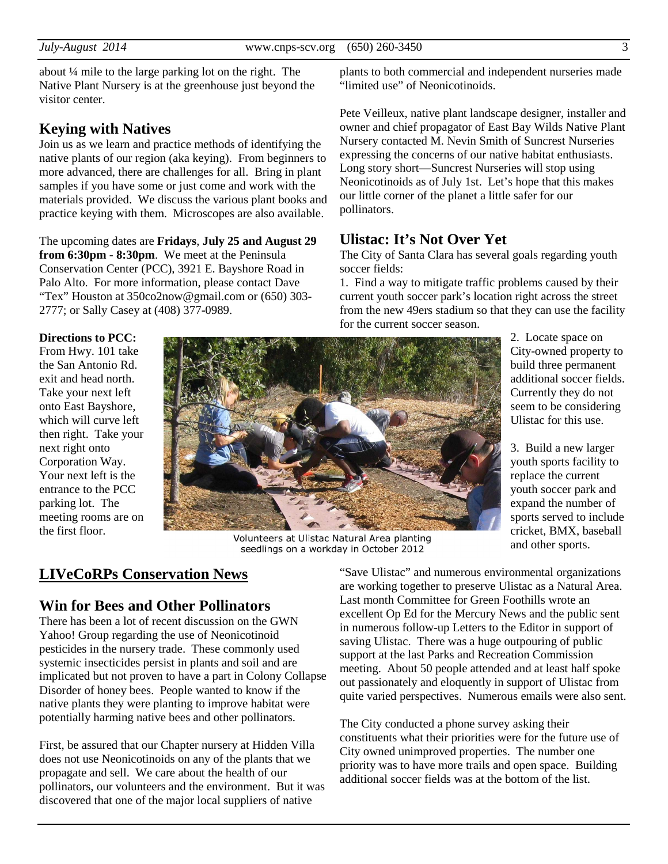about ¼ mile to the large parking lot on the right. The Native Plant Nursery is at the greenhouse just beyond the visitor center.

## **Keying with Natives**

Join us as we learn and practice methods of identifying the native plants of our region (aka keying). From beginners to more advanced, there are challenges for all. Bring in plant samples if you have some or just come and work with the materials provided. We discuss the various plant books and practice keying with them. Microscopes are also available.

The upcoming dates are **Fridays**, **July 25 and August 29 from 6:30pm - 8:30pm**. We meet at the Peninsula Conservation Center (PCC), 3921 E. Bayshore Road in Palo Alto. For more information, please contact Dave "Tex" Houston at 350co2now@gmail.com or (650) 303- 2777; or Sally Casey at (408) 377-0989.

plants to both commercial and independent nurseries made "limited use" of Neonicotinoids.

Pete Veilleux, native plant landscape designer, installer and owner and chief propagator of East Bay Wilds Native Plant Nursery contacted M. Nevin Smith of Suncrest Nurseries expressing the concerns of our native habitat enthusiasts. Long story short—Suncrest Nurseries will stop using Neonicotinoids as of July 1st. Let's hope that this makes our little corner of the planet a little safer for our pollinators.

## **Ulistac: It's Not Over Yet**

The City of Santa Clara has several goals regarding youth soccer fields:

1. Find a way to mitigate traffic problems caused by their current youth soccer park's location right across the street from the new 49ers stadium so that they can use the facility for the current soccer season.

> 2. Locate space on City-owned property to build three permanent additional soccer fields. Currently they do not seem to be considering Ulistac for this use.

3. Build a new larger youth sports facility to replace the current youth soccer park and expand the number of sports served to include cricket, BMX, baseball and other sports.

**Directions to PCC:** From Hwy. 101 take the San Antonio Rd. exit and head north. Take your next left onto East Bayshore, which will curve left then right. Take your next right onto Corporation Way. Your next left is the entrance to the PCC parking lot. The meeting rooms are on the first floor.



Volunteers at Ulistac Natural Area planting seedlings on a workday in October 2012

# **LIVeCoRPs Conservation News**

## **Win for Bees and Other Pollinators**

There has been a lot of recent discussion on the GWN Yahoo! Group regarding the use of Neonicotinoid pesticides in the nursery trade. These commonly used systemic insecticides persist in plants and soil and are implicated but not proven to have a part in Colony Collapse Disorder of honey bees. People wanted to know if the native plants they were planting to improve habitat were potentially harming native bees and other pollinators.

First, be assured that our Chapter nursery at Hidden Villa does not use Neonicotinoids on any of the plants that we propagate and sell. We care about the health of our pollinators, our volunteers and the environment. But it was discovered that one of the major local suppliers of native

"Save Ulistac" and numerous environmental organizations are working together to preserve Ulistac as a Natural Area. Last month Committee for Green Foothills wrote an excellent Op Ed for the Mercury News and the public sent in numerous follow-up Letters to the Editor in support of saving Ulistac. There was a huge outpouring of public support at the last Parks and Recreation Commission meeting. About 50 people attended and at least half spoke out passionately and eloquently in support of Ulistac from quite varied perspectives. Numerous emails were also sent.

The City conducted a phone survey asking their constituents what their priorities were for the future use of City owned unimproved properties. The number one priority was to have more trails and open space. Building additional soccer fields was at the bottom of the list.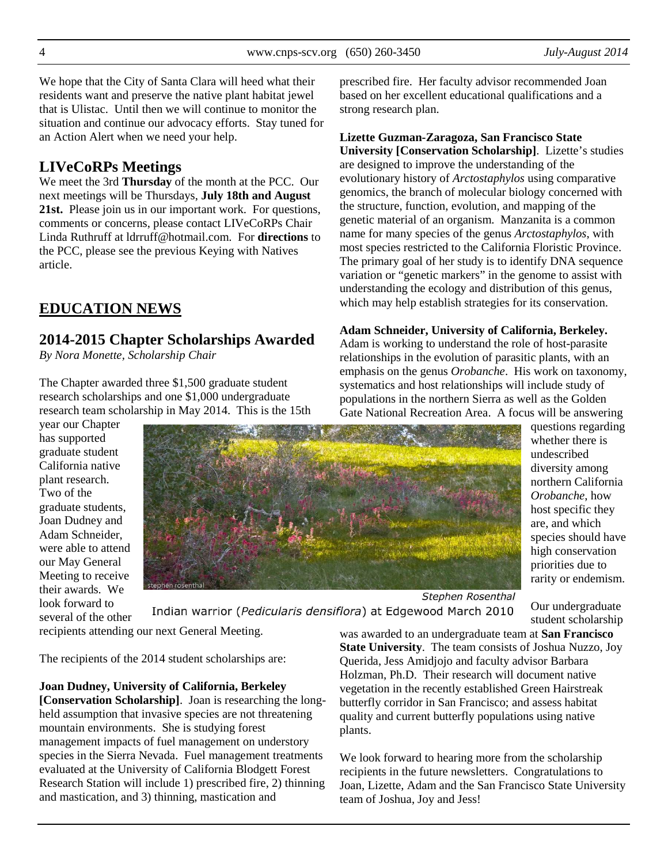strong research plan.

We hope that the City of Santa Clara will heed what their residents want and preserve the native plant habitat jewel that is Ulistac. Until then we will continue to monitor the situation and continue our advocacy efforts. Stay tuned for an Action Alert when we need your help.

# **LIVeCoRPs Meetings**

We meet the 3rd **Thursday** of the month at the PCC. Our next meetings will be Thursdays, **July 18th and August 21st.** Please join us in our important work. For questions, comments or concerns, please contact LIVeCoRPs Chair Linda Ruthruff at ldrruff@hotmail.com. For **directions** to the PCC, please see the previous Keying with Natives article.

# **EDUCATION NEWS**

# **2014-2015 Chapter Scholarships Awarded**

*By Nora Monette, Scholarship Chair* 

The Chapter awarded three \$1,500 graduate student research scholarships and one \$1,000 undergraduate research team scholarship in May 2014. This is the 15th

year our Chapter has supported graduate student California native plant research. Two of the graduate students, Joan Dudney and Adam Schneider, were able to attend our May General Meeting to receive their awards. We look forward to several of the other



Gate National Recreation Area. A focus will be answering questions regarding whether there is undescribed diversity among northern California *Orobanche*, how host specific they are, and which species should have high conservation priorities due to rarity or endemism.

Stephen Rosenthal Indian warrior (Pedicularis densiflora) at Edgewood March 2010

prescribed fire. Her faculty advisor recommended Joan based on her excellent educational qualifications and a

**University [Conservation Scholarship]**. Lizette's studies

evolutionary history of *Arctostaphylos* using comparative genomics, the branch of molecular biology concerned with the structure, function, evolution, and mapping of the genetic material of an organism. Manzanita is a common name for many species of the genus *Arctostaphylos*, with most species restricted to the California Floristic Province. The primary goal of her study is to identify DNA sequence variation or "genetic markers" in the genome to assist with understanding the ecology and distribution of this genus, which may help establish strategies for its conservation.

**Adam Schneider, University of California, Berkeley.** Adam is working to understand the role of host-parasite relationships in the evolution of parasitic plants, with an emphasis on the genus *Orobanche*. His work on taxonomy, systematics and host relationships will include study of populations in the northern Sierra as well as the Golden

**Lizette Guzman-Zaragoza, San Francisco State** 

are designed to improve the understanding of the

Our undergraduate student scholarship

The recipients of the 2014 student scholarships are:

recipients attending our next General Meeting.

**Joan Dudney, University of California, Berkeley [Conservation Scholarship]**. Joan is researching the longheld assumption that invasive species are not threatening mountain environments. She is studying forest management impacts of fuel management on understory species in the Sierra Nevada. Fuel management treatments evaluated at the University of California Blodgett Forest Research Station will include 1) prescribed fire, 2) thinning and mastication, and 3) thinning, mastication and

was awarded to an undergraduate team at **San Francisco State University**. The team consists of Joshua Nuzzo, Joy Querida, Jess Amidjojo and faculty advisor Barbara Holzman, Ph.D. Their research will document native vegetation in the recently established Green Hairstreak butterfly corridor in San Francisco; and assess habitat quality and current butterfly populations using native plants.

We look forward to hearing more from the scholarship recipients in the future newsletters. Congratulations to Joan, Lizette, Adam and the San Francisco State University team of Joshua, Joy and Jess!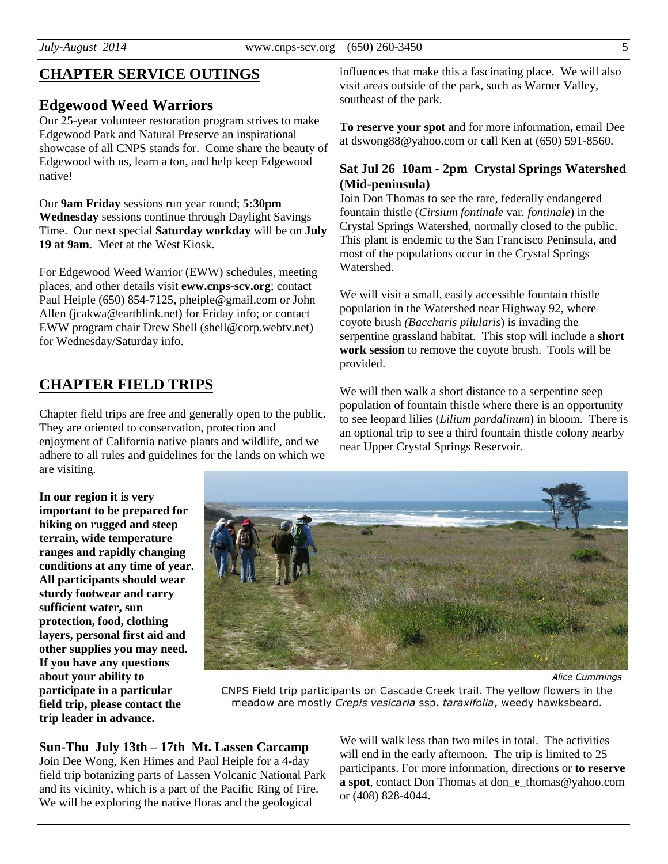# **CHAPTER SERVICE OUTINGS**

### **Edgewood Weed Warriors**

Our 25-year volunteer restoration program strives to make Edgewood Park and Natural Preserve an inspirational showcase of all CNPS stands for. Come share the beauty of Edgewood with us, learn a ton, and help keep Edgewood native!

Our **9am Friday** sessions run year round; **5:30pm Wednesday** sessions continue through Daylight Savings Time. Our next special **Saturday workday** will be on **July 19 at 9am**. Meet at the West Kiosk.

For Edgewood Weed Warrior (EWW) schedules, meeting places, and other details visit **eww.cnps-scv.org**; contact Paul Heiple (650) 854-7125, pheiple@gmail.com or John Allen (jcakwa@earthlink.net) for Friday info; or contact EWW program chair Drew Shell (shell@corp.webtv.net) for Wednesday/Saturday info.

# **CHAPTER FIELD TRIPS**

Chapter field trips are free and generally open to the public. They are oriented to conservation, protection and enjoyment of California native plants and wildlife, and we adhere to all rules and guidelines for the lands on which we are visiting.

**In our region it is very important to be prepared for hiking on rugged and steep terrain, wide temperature ranges and rapidly changing conditions at any time of year. All participants should wear sturdy footwear and carry sufficient water, sun protection, food, clothing layers, personal first aid and other supplies you may need. If you have any questions about your ability to participate in a particular field trip, please contact the trip leader in advance.** 

influences that make this a fascinating place. We will also visit areas outside of the park, such as Warner Valley, southeast of the park.

**To reserve your spot** and for more information**,** email Dee at dswong88@yahoo.com or call Ken at (650) 591-8560.

### **Sat Jul 26 10am - 2pm Crystal Springs Watershed (Mid-peninsula)**

Join Don Thomas to see the rare, federally endangered fountain thistle (*Cirsium fontinale* var*. fontinale*) in the Crystal Springs Watershed, normally closed to the public. This plant is endemic to the San Francisco Peninsula, and most of the populations occur in the Crystal Springs Watershed.

We will visit a small, easily accessible fountain thistle population in the Watershed near Highway 92, where coyote brush *(Baccharis pilularis*) is invading the serpentine grassland habitat. This stop will include a **short work session** to remove the coyote brush. Tools will be provided.

We will then walk a short distance to a serpentine seep population of fountain thistle where there is an opportunity to see leopard lilies (*Lilium pardalinum*) in bloom. There is an optional trip to see a third fountain thistle colony nearby near Upper Crystal Springs Reservoir.

CNPS Field trip participants on Cascade Creek trail. The yellow flowers in the meadow are mostly Crepis vesicaria ssp. taraxifolia, weedy hawksbeard.

**Sun-Thu July 13th – 17th Mt. Lassen Carcamp**  Join Dee Wong, Ken Himes and Paul Heiple for a 4-day field trip botanizing parts of Lassen Volcanic National Park and its vicinity, which is a part of the Pacific Ring of Fire. We will be exploring the native floras and the geological

We will walk less than two miles in total. The activities will end in the early afternoon. The trip is limited to 25 participants. For more information, directions or **to reserve a spot**, contact Don Thomas at don\_e\_thomas@yahoo.com or (408) 828-4044.

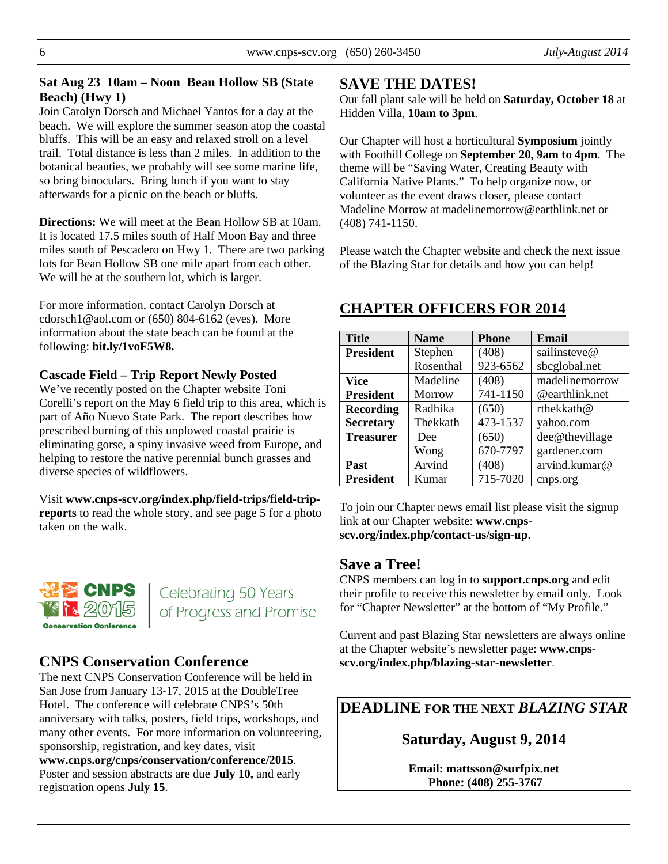## **Sat Aug 23 10am – Noon Bean Hollow SB (State Beach) (Hwy 1)**

Join Carolyn Dorsch and Michael Yantos for a day at the beach. We will explore the summer season atop the coastal bluffs. This will be an easy and relaxed stroll on a level trail. Total distance is less than 2 miles. In addition to the botanical beauties, we probably will see some marine life, so bring binoculars. Bring lunch if you want to stay afterwards for a picnic on the beach or bluffs.

**Directions:** We will meet at the Bean Hollow SB at 10am. It is located 17.5 miles south of Half Moon Bay and three miles south of Pescadero on Hwy 1. There are two parking lots for Bean Hollow SB one mile apart from each other. We will be at the southern lot, which is larger.

For more information, contact Carolyn Dorsch at cdorsch1@aol.com or (650) 804-6162 (eves). More information about the state beach can be found at the following: **bit.ly/1voF5W8.** 

## **Cascade Field – Trip Report Newly Posted**

We've recently posted on the Chapter website Toni Corelli's report on the May 6 field trip to this area, which is part of Año Nuevo State Park. The report describes how prescribed burning of this unplowed coastal prairie is eliminating gorse, a spiny invasive weed from Europe, and helping to restore the native perennial bunch grasses and diverse species of wildflowers.

Visit **www.cnps-scv.org/index.php/field-trips/field-tripreports** to read the whole story, and see page 5 for a photo taken on the walk.



Celebrating 50 Years of Progress and Promise

# **CNPS Conservation Conference**

The next CNPS Conservation Conference will be held in San Jose from January 13-17, 2015 at the DoubleTree Hotel. The conference will celebrate CNPS's 50th anniversary with talks, posters, field trips, workshops, and many other events. For more information on volunteering, sponsorship, registration, and key dates, visit **www.cnps.org/cnps/conservation/conference/2015**. Poster and session abstracts are due **July 10,** and early registration opens **July 15**.

# **SAVE THE DATES!**

Our fall plant sale will be held on **Saturday, October 18** at Hidden Villa, **10am to 3pm**.

Our Chapter will host a horticultural **Symposium** jointly with Foothill College on **September 20, 9am to 4pm**. The theme will be "Saving Water, Creating Beauty with California Native Plants." To help organize now, or volunteer as the event draws closer, please contact Madeline Morrow at madelinemorrow@earthlink.net or (408) 741-1150.

Please watch the Chapter website and check the next issue of the Blazing Star for details and how you can help!

# **CHAPTER OFFICERS FOR 2014**

| <b>Title</b>     | <b>Name</b> | <b>Phone</b> | Email          |
|------------------|-------------|--------------|----------------|
| <b>President</b> | Stephen     | (408)        | sailinsteve@   |
|                  | Rosenthal   | 923-6562     | sbcglobal.net  |
| <b>Vice</b>      | Madeline    | (408)        | madelinemorrow |
| <b>President</b> | Morrow      | 741-1150     | @earthlink.net |
| <b>Recording</b> | Radhika     | (650)        | rthekkath@     |
| <b>Secretary</b> | Thekkath    | 473-1537     | yahoo.com      |
| <b>Treasurer</b> | Dee         | (650)        | dee@thevillage |
|                  | Wong        | 670-7797     | gardener.com   |
| Past             | Arvind      | (408)        | arvind.kumar@  |
| <b>President</b> | Kumar       | 715-7020     | cnps.org       |

To join our Chapter news email list please visit the signup link at our Chapter website: **www.cnpsscv.org/index.php/contact-us/sign-up**.

# **Save a Tree!**

CNPS members can log in to **support.cnps.org** and edit their profile to receive this newsletter by email only. Look for "Chapter Newsletter" at the bottom of "My Profile."

Current and past Blazing Star newsletters are always online at the Chapter website's newsletter page: **www.cnpsscv.org/index.php/blazing-star-newsletter**.

**DEADLINE FOR THE NEXT** *BLAZING STAR* 

**Saturday, August 9, 2014** 

**Email: mattsson@surfpix.net Phone: (408) 255-3767**